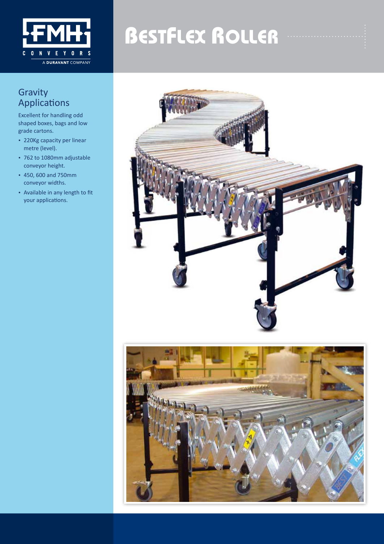

## **BESTFLEX ROLLER**

### **Gravity** Applications

Excellent for handling odd shaped boxes, bags and low grade cartons.

- 220Kg capacity per linear metre (level).
- 762 to 1080mm adjustable conveyor height.
- • 450, 600 and 750mm conveyor widths.
- • Available in any length to fit your applications.